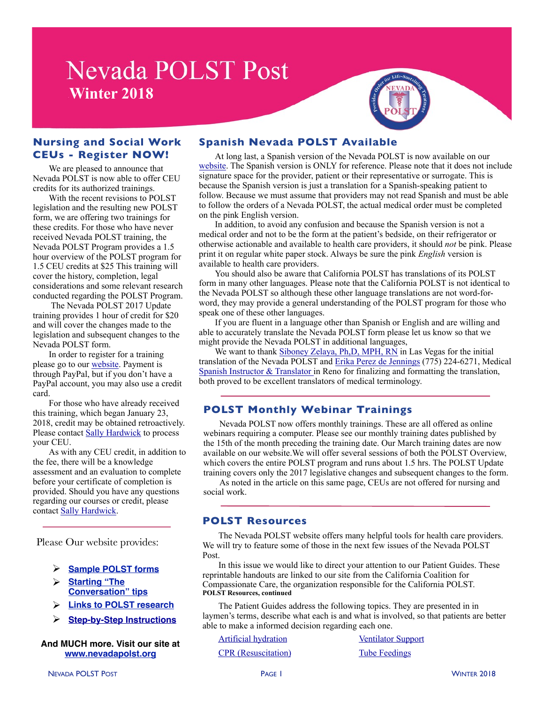# **Nevada POLST Post Winter 2018**



### **Nursing and Social Work CEUs - Register NOW!**

We are pleased to announce that Nevada POLST is now able to offer CEU credits for its authorized trainings.

With the recent revisions to POLST legislation and the resulting new POLST form, we are offering two trainings for these credits. For those who have never received Nevada POLST training, the Nevada POLST Program provides a 1.5 hour overview of the POLST program for 1.5 CEU credits at \$25 This training will cover the history, completion, legal considerations and some relevant research conducted regarding the POLST Program.

 The Nevada POLST 2017 Update training provides 1 hour of credit for \$20 and will cover the changes made to the legislation and subsequent changes to the Nevada POLST form.

In order to register for a training please go to our [website.](http://www.nevadapolst.org/for-providers/polst-training/) Payment is through PayPal, but if you don't have a PayPal account, you may also use a credit card.

For those who have already received this training, which began January 23, 2018, credit may be obtained retroactively. Please contact [Sally Hardwick](mailto:sph@nevadapolst.org?subject=Retro-Active%20CEU%20Credit) to process your CEU.

As with any CEU credit, in addition to the fee, there will be a knowledge assessment and an evaluation to complete before your certificate of completion is provided. Should you have any questions regarding our courses or credit, please contact [Sally Hardwick.](mailto:sph@nevadapolst.org?subject=Retro-Active%20CEU%20Credit)

Please Our website provides:

- Ø **[Sample POLST forms](http://www.nevadapolst.org/wp-content/uploads/2014/09/POLST-SAMPLE.pdf)**
- Ø **[Starting "The](http://www.nevadapolst.org/for-providers/start-the-conversation/)  [Conversation" tips](http://www.nevadapolst.org/for-providers/start-the-conversation/)**
- Ø **[Links to POLST research](http://www.nevadapolst.org/nevada-polst-form/forms-resources/)**
- **[Step-by-Step Instructions](http://www.nevadapolst.org/for-providers/polst-step-by-step/)**

#### **And MUCH more. Visit our site at [www.nevadapolst.org](http://www.nevadapolst.org)**

### **Spanish Nevada POLST Available**

At long last, a Spanish version of the Nevada POLST is now available on our [website.](http://www.nevadapolst.org/nevada-polst-form/printing-instructions/) The Spanish version is ONLY for reference. Please note that it does not include signature space for the provider, patient or their representative or surrogate. This is because the Spanish version is just a translation for a Spanish-speaking patient to follow. Because we must assume that providers may not read Spanish and must be able to follow the orders of a Nevada POLST, the actual medical order must be completed on the pink English version.

In addition, to avoid any confusion and because the Spanish version is not a medical order and not to be the form at the patient's bedside, on their refrigerator or otherwise actionable and available to health care providers, it should *not* be pink. Please print it on regular white paper stock. Always be sure the pink *English* version is available to health care providers.

You should also be aware that California POLST has translations of its POLST form in many other languages. Please note that the California POLST is not identical to the Nevada POLST so although these other language translations are not word-forword, they may provide a general understanding of the POLST program for those who speak one of these other languages.

If you are fluent in a language other than Spanish or English and are willing and able to accurately translate the Nevada POLST form please let us know so that we might provide the Nevada POLST in additional languages,

We want to thank [Siboney Zelaya, Ph,D, MPH, RN](mailto:siboney001@gmail.com?subject=Translation%20Services) in Las Vegas for the initial translation of the Nevada POLST and [Erika Perez de Jennings](mailto:info@trainingconnexion.com?subject=Spanish%20Translation) (775) 224-6271, Medical [Spanish Instructor & Translator i](http://www.trainingconnexion.com)n Reno for finalizing and formatting the translation, both proved to be excellent translators of medical terminology.

# **POLST Monthly Webinar Trainings**

Nevada POLST now offers monthly trainings. These are all offered as online webinars requiring a computer. Please see our monthly training dates published by the 15th of the month preceding the training date. Our March training dates are now available on our website.We will offer several sessions of both the POLST Overview, which covers the entire POLST program and runs about 1.5 hrs. The POLST Update training covers only the 2017 legislative changes and subsequent changes to the form.

As noted in the article on this same page, CEUs are not offered for nursing and social work.

#### **POLST Resources**

The Nevada POLST website offers many helpful tools for health care providers. We will try to feature some of those in the next few issues of the Nevada POLST Post.

In this issue we would like to direct your attention to our Patient Guides. These reprintable handouts are linked to our site from the California Coalition for Compassionate Care, the organization responsible for the California POLST. **POLST Resources, continued** 

The Patient Guides address the following topics. They are presented in in laymen's terms, describe what each is and what is involved, so that patients are better able to make a informed decision regarding each one.

[Artificial hydration](http://coalitionccc.org/wp-content/uploads/2014/06/cccc_artificial_hydration_web_SAMPLE.pdf) [Ventilator Support](http://coalitionccc.org/wp-content/uploads/2014/06/cccc_breathing_machine_web_SAMPLE.pdf)

[CPR \(Resuscitation\)](http://coalitionccc.org/wp-content/uploads/2014/06/cccc_cpr_web_SAMPLE.pdf) [Tube Feedings](http://coalitionccc.org/wp-content/uploads/2014/06/cccc_tube_feeding_web_SAMPLE.pdf)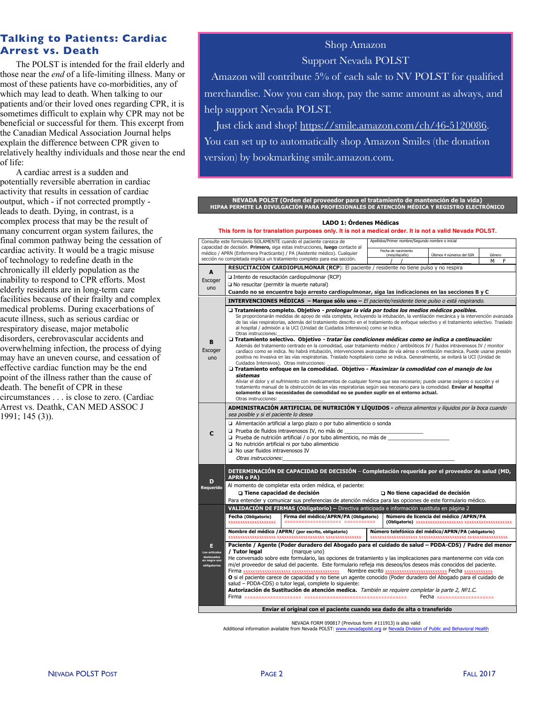# **Talking to Patients: Cardiac Arrest vs. Death**

The POLST is intended for the frail elderly and those near the *end* of a life-limiting illness. Many or most of these patients have co-morbidities, any of which may lead to death. When talking to our patients and/or their loved ones regarding CPR, it is sometimes difficult to explain why CPR may not be beneficial or successful for them. This excerpt from the Canadian Medical Association Journal helps explain the difference between CPR given to relatively healthy individuals and those near the end of life:

A cardiac arrest is a sudden and potentially reversible aberration in cardiac activity that results in cessation of cardiac output, which - if not corrected promptly leads to death. Dying, in contrast, is a complex process that may be the result of many concurrent organ system failures, the final common pathway being the cessation of cardiac activity. It would be a tragic misuse of technology to redefine death in the chronically ill elderly population as the inability to respond to CPR efforts. Most elderly residents are in long-term care facilities because of their frailty and complex medical problems. During exacerbations of acute illness, such as serious cardiac or respiratory disease, major metabolic disorders, cerebrovascular accidents and overwhelming infection, the process of dying may have an uneven course, and cessation of effective cardiac function may be the end point of the illness rather than the cause of death. The benefit of CPR in these circumstances . . . is close to zero. (Cardiac Arrest vs. Deathk, CAN MED ASSOC J 1991; 145 (3)).

# Shop Amazon Support Nevada POLST

Amazon will contribute 5% of each sale to NV POLST for qualified merchandise. Now you can shop, pay the same amount as always, and help support Nevada POLST.

Just click and shop! [https://smile.amazon.com/ch/46-5120086.](https://smile.amazon.com/ch/46-5120086) You can set up to automatically shop Amazon Smiles (the donation version) by bookmarking smile.amazon.com.

**NEVADA POLST (Orden del proveedor para el tratamiento de mantención de la vida) HIPAA PERMITE LA DIVULGACIÓN PARA PROFESIONALES DE ATENCIÓN MÉDICA Y REGISTRO ELECTRÓNICO**

| LADO 1: Órdenes Médicas<br>This form is for translation purposes only. It is not a medical order. It is not a valid Nevada POLST.                   |                                                                                                                                                                                                                                                                                                                                                                                                                                                                                                                                                                                                                                                                        |                                                                                                                                                                                                             |                                                                         |                           |                                        |   |   |  |  |
|-----------------------------------------------------------------------------------------------------------------------------------------------------|------------------------------------------------------------------------------------------------------------------------------------------------------------------------------------------------------------------------------------------------------------------------------------------------------------------------------------------------------------------------------------------------------------------------------------------------------------------------------------------------------------------------------------------------------------------------------------------------------------------------------------------------------------------------|-------------------------------------------------------------------------------------------------------------------------------------------------------------------------------------------------------------|-------------------------------------------------------------------------|---------------------------|----------------------------------------|---|---|--|--|
| Consulte este formulario SOLAMENTE cuando el paciente carezca de                                                                                    |                                                                                                                                                                                                                                                                                                                                                                                                                                                                                                                                                                                                                                                                        |                                                                                                                                                                                                             |                                                                         |                           |                                        |   |   |  |  |
|                                                                                                                                                     |                                                                                                                                                                                                                                                                                                                                                                                                                                                                                                                                                                                                                                                                        | capacidad de decisión. Primero, siga estas instrucciones, luego contacte al                                                                                                                                 | Apellidos/Primer nombre/Segundo nombre o inicial<br>Fecha de nacimiento |                           |                                        |   |   |  |  |
| médico / APRN (Enfermera Practicante) / PA (Asistente médico). Cualquier<br>sección no completada implica un tratamiento completo para esa sección. |                                                                                                                                                                                                                                                                                                                                                                                                                                                                                                                                                                                                                                                                        |                                                                                                                                                                                                             | (mes/día/año)                                                           | Últimos 4 números del SSN | Género                                 |   |   |  |  |
|                                                                                                                                                     |                                                                                                                                                                                                                                                                                                                                                                                                                                                                                                                                                                                                                                                                        | <b>RESUCITACIÓN CARDIOPULMONAR (RCP):</b> El paciente / residente no tiene pulso y no respira                                                                                                               |                                                                         |                           |                                        | M | F |  |  |
| A                                                                                                                                                   | □ Intento de resucitación cardiopulmonar (RCP)                                                                                                                                                                                                                                                                                                                                                                                                                                                                                                                                                                                                                         |                                                                                                                                                                                                             |                                                                         |                           |                                        |   |   |  |  |
| Escoger                                                                                                                                             | □ No resucitar (permitir la muerte natural)                                                                                                                                                                                                                                                                                                                                                                                                                                                                                                                                                                                                                            |                                                                                                                                                                                                             |                                                                         |                           |                                        |   |   |  |  |
| uno                                                                                                                                                 | Cuando no se encuentre bajo arresto cardiopulmonar, siga las indicaciones en las secciones B y C                                                                                                                                                                                                                                                                                                                                                                                                                                                                                                                                                                       |                                                                                                                                                                                                             |                                                                         |                           |                                        |   |   |  |  |
|                                                                                                                                                     | INTERVENCIONES MÉDICAS - Marque sólo uno - El paciente/residente tiene pulso o está respirando.                                                                                                                                                                                                                                                                                                                                                                                                                                                                                                                                                                        |                                                                                                                                                                                                             |                                                                         |                           |                                        |   |   |  |  |
| в<br>Escoger<br>uno                                                                                                                                 | □ Tratamiento completo. Objetivo - prolongar la vida por todos los medios médicos posibles.<br>Se proporcionarán medidas de apoyo de vida completa, incluyendo la intubación, la ventilación mecánica y la intervención avanzada<br>de las vías respiratorias, además del tratamiento descrito en el tratamiento de enfoque selectivo y el tratamiento selectivo. Traslado<br>al hospital / admisión a la UCI (Unidad de Cuidados Intensivos) como se indica.<br>Otras instrucciones:                                                                                                                                                                                  |                                                                                                                                                                                                             |                                                                         |                           |                                        |   |   |  |  |
|                                                                                                                                                     | □ Tratamiento selectivo. Objetivo - tratar las condiciones médicas como se indica a continuación:<br>Además del tratamiento centrado en la comodidad, usar tratamiento médico / antibióticos IV / fluidos intravenosos IV / monitor<br>cardíaco como se indica. No habrá intubación, intervenciones avanzadas de vía aérea o ventilación mecánica. Puede usarse presión<br>positiva no invasiva en las vías respiratorias. Traslado hospitalario como se indica. Generalmente, se evitará la UCI (Unidad de<br>Cuidados Intensivos). Otras instrucciones:<br>□ Tratamiento enfoque en la comodidad. Objetivo - Maximizar la comodidad con el manejo de los<br>sistemas |                                                                                                                                                                                                             |                                                                         |                           |                                        |   |   |  |  |
|                                                                                                                                                     | Aliviar el dolor y el sufrimiento con medicamentos de cualquier forma que sea necesario; puede usarse oxígeno o succión y el<br>tratamiento manual de la obstrucción de las vías respiratorias según sea necesario para la comodidad. Enviar al hospital<br>solamente si las necesidades de comodidad no se pueden suplir en el entorno actual.<br>Otras instrucciones:                                                                                                                                                                                                                                                                                                |                                                                                                                                                                                                             |                                                                         |                           |                                        |   |   |  |  |
|                                                                                                                                                     | ADMINISTRACIÓN ARTIFICIAL DE NUTRICIÓN Y LÍQUIDOS - ofrezca alimentos y líquidos por la boca cuando<br>sea posible y si el paciente lo desea                                                                                                                                                                                                                                                                                                                                                                                                                                                                                                                           |                                                                                                                                                                                                             |                                                                         |                           |                                        |   |   |  |  |
| c                                                                                                                                                   | Alimentación artificial a largo plazo o por tubo alimenticio o sonda<br>□ Prueba de fluidos intravenosos IV, no más de<br>□ Prueba de nutrición artificial / o por tubo alimenticio, no más de<br>No nutrición artificial ni por tubo alimenticio<br>$\Box$ No usar fluidos intravenosos IV<br>Otras instrucciones:                                                                                                                                                                                                                                                                                                                                                    |                                                                                                                                                                                                             |                                                                         |                           |                                        |   |   |  |  |
|                                                                                                                                                     | DETERMINACIÓN DE CAPACIDAD DE DECISIÓN - Completación requerida por el proveedor de salud (MD,<br><b>APRN o PA)</b>                                                                                                                                                                                                                                                                                                                                                                                                                                                                                                                                                    |                                                                                                                                                                                                             |                                                                         |                           |                                        |   |   |  |  |
| D<br>Requerido                                                                                                                                      | Al momento de completar esta orden médica, el paciente:                                                                                                                                                                                                                                                                                                                                                                                                                                                                                                                                                                                                                |                                                                                                                                                                                                             |                                                                         |                           |                                        |   |   |  |  |
|                                                                                                                                                     | Tiene capacidad de decisión<br>No tiene capacidad de decisión                                                                                                                                                                                                                                                                                                                                                                                                                                                                                                                                                                                                          |                                                                                                                                                                                                             |                                                                         |                           |                                        |   |   |  |  |
|                                                                                                                                                     |                                                                                                                                                                                                                                                                                                                                                                                                                                                                                                                                                                                                                                                                        | Para entender y comunicar sus preferencias de atención médica para las opciones de este formulario médico.<br>VALIDACIÓN DE FIRMAS (Obligatorio) - Directiva anticipada e información sustituta en página 2 |                                                                         |                           |                                        |   |   |  |  |
|                                                                                                                                                     | Fecha (Obligatorio)                                                                                                                                                                                                                                                                                                                                                                                                                                                                                                                                                                                                                                                    | Firma del médico/APRN/PA (Obligatorio)                                                                                                                                                                      |                                                                         |                           | Número de licencia del médico /APRN/PA |   |   |  |  |
|                                                                                                                                                     | XXXXXXXXXXXXXXXXXXX                                                                                                                                                                                                                                                                                                                                                                                                                                                                                                                                                                                                                                                    | XXXXXXXXXXXXXXXXXXXXX XXXXXXXXXXX                                                                                                                                                                           |                                                                         |                           |                                        |   |   |  |  |
|                                                                                                                                                     | Nombre del médico / APRN/ (por escrito, obligatorio)<br>Número telefónico del médico/APRN/PA (obligatorio)                                                                                                                                                                                                                                                                                                                                                                                                                                                                                                                                                             |                                                                                                                                                                                                             |                                                                         |                           |                                        |   |   |  |  |
| Е<br>Los artículos                                                                                                                                  | Paciente / Agente (Poder duradero del Abogado para el cuidado de salud - PDDA-CDS) / Padre del menor<br>/ Tutor legal<br>(marque uno)                                                                                                                                                                                                                                                                                                                                                                                                                                                                                                                                  |                                                                                                                                                                                                             |                                                                         |                           |                                        |   |   |  |  |
| destacados<br>en negro son<br>obligatorios                                                                                                          | He conversado sobre este formulario, las opciones de tratamiento y las implicaciones para mantenerme con vida con<br>mi/el proveedor de salud del paciente. Este formulario refleja mis deseos/los deseos más conocidos del paciente.                                                                                                                                                                                                                                                                                                                                                                                                                                  |                                                                                                                                                                                                             |                                                                         |                           |                                        |   |   |  |  |
|                                                                                                                                                     | O si el paciente carece de capacidad y no tiene un agente conocido (Poder duradero del Abogado para el cuidado de                                                                                                                                                                                                                                                                                                                                                                                                                                                                                                                                                      |                                                                                                                                                                                                             |                                                                         |                           |                                        |   |   |  |  |
|                                                                                                                                                     | salud - PDDA-CDS) o tutor legal, complete lo siguiente:<br>Autorización de Sustitución de atención medica. También se requiere completar la parte 2, Nº1.C.                                                                                                                                                                                                                                                                                                                                                                                                                                                                                                            |                                                                                                                                                                                                             |                                                                         |                           |                                        |   |   |  |  |
|                                                                                                                                                     | Fecha xxxxxxxxxxxxxxxxxxx                                                                                                                                                                                                                                                                                                                                                                                                                                                                                                                                                                                                                                              |                                                                                                                                                                                                             |                                                                         |                           |                                        |   |   |  |  |
|                                                                                                                                                     | Enviar el original con el paciente cuando sea dado de alta o transferido                                                                                                                                                                                                                                                                                                                                                                                                                                                                                                                                                                                               |                                                                                                                                                                                                             |                                                                         |                           |                                        |   |   |  |  |
|                                                                                                                                                     |                                                                                                                                                                                                                                                                                                                                                                                                                                                                                                                                                                                                                                                                        |                                                                                                                                                                                                             |                                                                         |                           |                                        |   |   |  |  |

NEVADA FORM 090817 (Previous form #111913) is also valid